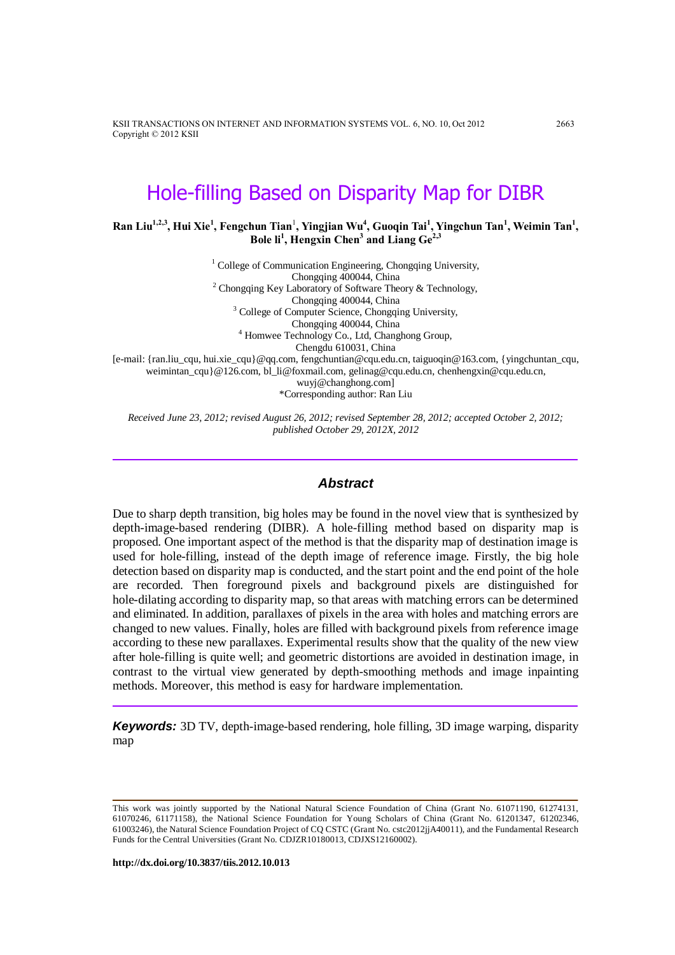KSII TRANSACTIONS ON INTERNET AND INFORMATION SYSTEMS VOL. 6, NO. 10, Oct 2012 2663 Copyright © 2012 KSII

# Hole-filling Based on Disparity Map for DIBR

**Ran Liu1,2,3, Hui Xie<sup>1</sup> , Fengchun Tian**<sup>1</sup> **, Yingjian Wu<sup>4</sup> , Guoqin Tai<sup>1</sup> , Yingchun Tan<sup>1</sup> , Weimin Tan<sup>1</sup> , Bole li<sup>1</sup> , Hengxin Chen<sup>3</sup> and Liang Ge2,3**

<sup>1</sup> College of Communication Engineering, Chongqing University, Chongqing 400044, China <sup>2</sup> Chongqing Key Laboratory of Software Theory & Technology, Chongqing 400044, China <sup>3</sup> College of Computer Science, Chongqing University, Chongqing 400044, China <sup>4</sup> Homwee Technology Co., Ltd, Changhong Group, Chengdu 610031, China [e-mail: {ran.liu\_cqu, hui.xie\_cqu}@qq.com, fengchuntian@cqu.edu.cn, taiguoqin@163.com, {yingchuntan\_cqu, weimintan\_cqu}@126.com, bl\_li@foxmail.com, gelinag@cqu.edu.cn, chenhengxin@cqu.edu.cn, wuyj@changhong.com] \*Corresponding author: Ran Liu

*Received June 23, 2012; revised August 26, 2012; revised September 28, 2012; accepted October 2, 2012; published October 29, 2012X, 2012*

#### *Abstract*

Due to sharp depth transition, big holes may be found in the novel view that is synthesized by depth-image-based rendering (DIBR). A hole-filling method based on disparity map is proposed. One important aspect of the method is that the disparity map of destination image is used for hole-filling, instead of the depth image of reference image. Firstly, the big hole detection based on disparity map is conducted, and the start point and the end point of the hole are recorded. Then foreground pixels and background pixels are distinguished for hole-dilating according to disparity map, so that areas with matching errors can be determined and eliminated. In addition, parallaxes of pixels in the area with holes and matching errors are changed to new values. Finally, holes are filled with background pixels from reference image according to these new parallaxes. Experimental results show that the quality of the new view after hole-filling is quite well; and geometric distortions are avoided in destination image, in contrast to the virtual view generated by depth-smoothing methods and image inpainting methods. Moreover, this method is easy for hardware implementation.

*Keywords:* 3D TV, depth-image-based rendering, hole filling, 3D image warping, disparity map

This work was jointly supported by the National Natural Science Foundation of China (Grant No. 61071190, 61274131, 61070246, 61171158), the National Science Foundation for Young Scholars of China (Grant No. 61201347, 61202346, 61003246), the Natural Science Foundation Project of CQ CSTC (Grant No. cstc2012jjA40011), and the Fundamental Research Funds for the Central Universities (Grant No. CDJZR10180013, CDJXS12160002).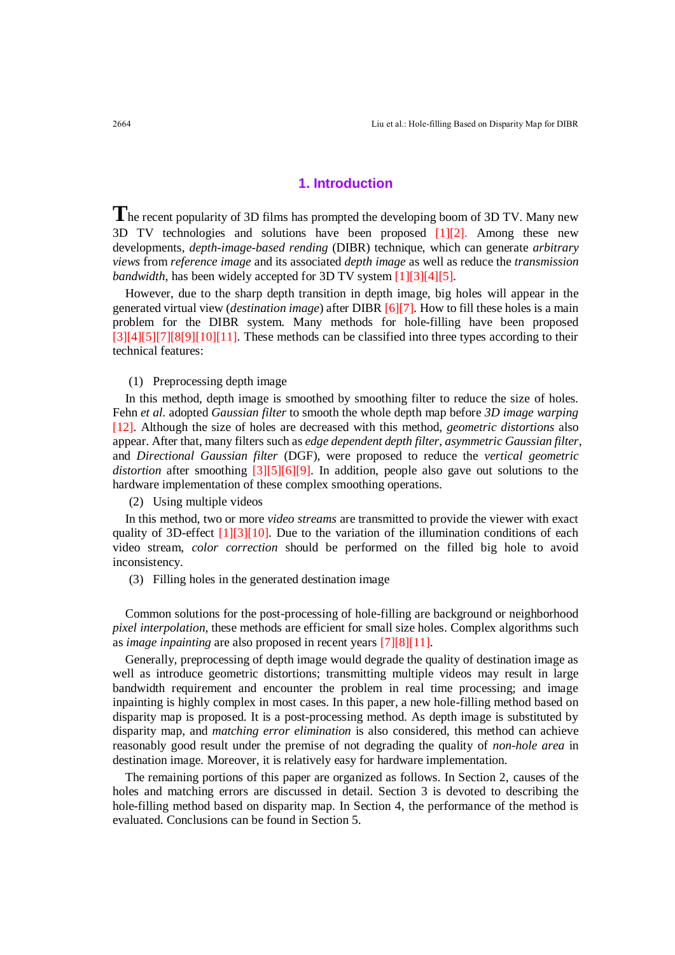## **1. Introduction**

**T**he recent popularity of 3D films has prompted the developing boom of 3D TV. Many new 3D TV technologies and solutions have been proposed [1][2]. Among these new developments, *depth-image-based rending* (DIBR) technique, which can generate *arbitrary views* from *reference image* and its associated *depth image* as well as reduce the *transmission bandwidth*, has been widely accepted for 3D TV system [1][3][4][5].

However, due to the sharp depth transition in depth image, big holes will appear in the generated virtual view (*destination image*) after DIBR [6][7]. How to fill these holes is a main problem for the DIBR system. Many methods for hole-filling have been proposed  $[3][4][5][7][8[9][10][11]$ . These methods can be classified into three types according to their technical features:

#### (1) Preprocessing depth image

In this method, depth image is smoothed by smoothing filter to reduce the size of holes. Fehn *et al.* adopted *Gaussian filter* to smooth the whole depth map before *3D image warping* [12]. Although the size of holes are decreased with this method, *geometric distortions* also appear. After that, many filters such as *edge dependent depth filter*, *asymmetric Gaussian filter*, and *Directional Gaussian filter* (DGF), were proposed to reduce the *vertical geometric distortion* after smoothing [3][5][6][9]. In addition, people also gave out solutions to the hardware implementation of these complex smoothing operations.

(2) Using multiple videos

In this method, two or more *video streams* are transmitted to provide the viewer with exact quality of 3D-effect  $[1][3][10]$ . Due to the variation of the illumination conditions of each video stream, *color correction* should be performed on the filled big hole to avoid inconsistency.

(3) Filling holes in the generated destination image

Common solutions for the post-processing of hole-filling are background or neighborhood *pixel interpolation*, these methods are efficient for small size holes. Complex algorithms such as *image inpainting* are also proposed in recent years [7][8][11].

Generally, preprocessing of depth image would degrade the quality of destination image as well as introduce geometric distortions; transmitting multiple videos may result in large bandwidth requirement and encounter the problem in real time processing; and image inpainting is highly complex in most cases. In this paper, a new hole-filling method based on disparity map is proposed. It is a post-processing method. As depth image is substituted by disparity map, and *matching error elimination* is also considered, this method can achieve reasonably good result under the premise of not degrading the quality of *non-hole area* in destination image. Moreover, it is relatively easy for hardware implementation.

The remaining portions of this paper are organized as follows. In Section 2, causes of the holes and matching errors are discussed in detail. Section 3 is devoted to describing the hole-filling method based on disparity map. In Section 4, the performance of the method is evaluated. Conclusions can be found in Section 5.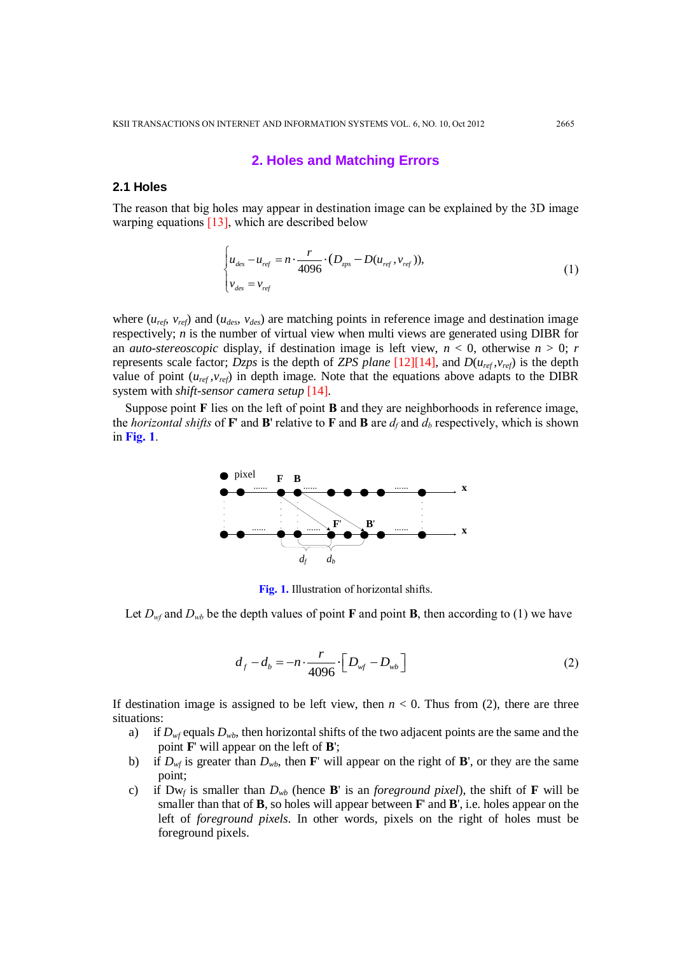#### **2. Holes and Matching Errors**

#### **2.1 Holes**

The reason that big holes may appear in destination image can be explained by the 3D image warping equations  $[13]$ , which are described below

$$
\begin{cases}\n u_{des} - u_{ref} = n \cdot \frac{r}{4096} \cdot (D_{sys} - D(u_{ref}, v_{ref})), \\
v_{des} = v_{ref}\n\end{cases}
$$
\n(1)

where  $(u_{ref}, v_{ref})$  and  $(u_{des}, v_{des})$  are matching points in reference image and destination image respectively; *n* is the number of virtual view when multi views are generated using DIBR for an *auto-stereoscopic* display, if destination image is left view,  $n < 0$ , otherwise  $n > 0$ ; *r* represents scale factor; *Dzps* is the depth of *ZPS plane* [12][14], and  $D(u_{ref}, v_{ref})$  is the depth value of point  $(u_{ref}, v_{ref})$  in depth image. Note that the equations above adapts to the DIBR system with *shift-sensor camera setup* [14].

Suppose point **F** lies on the left of point **B** and they are neighborhoods in reference image, the *horizontal shifts* of **F**' and **B**' relative to **F** and **B** are  $d_f$  and  $d_b$  respectively, which is shown in **Fig. 1**.



**Fig. 1.** Illustration of horizontal shifts.

Let  $D_{wf}$  and  $D_{wb}$  be the depth values of point **F** and point **B**, then according to (1) we have

$$
d_f - d_b = -n \cdot \frac{r}{4096} \cdot \left[ D_{wf} - D_{wb} \right]
$$
 (2)

If destination image is assigned to be left view, then  $n < 0$ . Thus from (2), there are three situations:

- a) if  $D_{wf}$  equals  $D_{wb}$ , then horizontal shifts of the two adjacent points are the same and the point **F**' will appear on the left of **B**';
- b) if  $D_{wf}$  is greater than  $D_{wb}$ , then **F**' will appear on the right of **B**', or they are the same point;
- c) if  $Dw_f$  is smaller than  $D_{wb}$  (hence **B**' is an *foreground pixel*), the shift of **F** will be smaller than that of **B**, so holes will appear between **F**' and **B**', i.e. holes appear on the left of *foreground pixels*. In other words, pixels on the right of holes must be foreground pixels.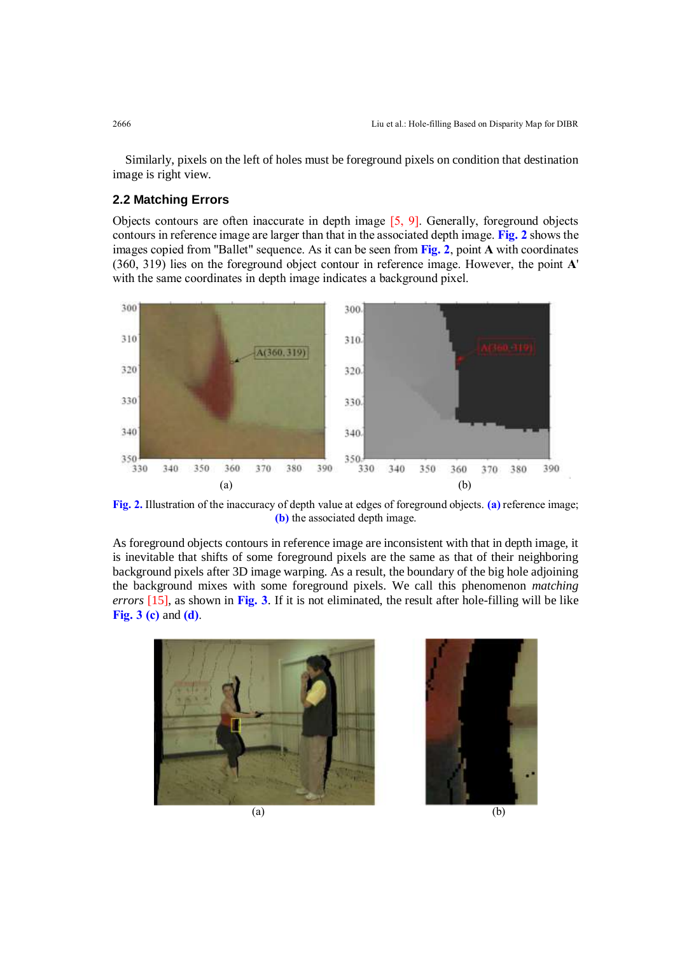Similarly, pixels on the left of holes must be foreground pixels on condition that destination image is right view.

# **2.2 Matching Errors**

Objects contours are often inaccurate in depth image [5, 9]. Generally, foreground objects contours in reference image are larger than that in the associated depth image. **Fig. 2** shows the images copied from "Ballet" sequence. As it can be seen from **Fig. 2**, point **A** with coordinates (360, 319) lies on the foreground object contour in reference image. However, the point **A**' with the same coordinates in depth image indicates a background pixel.



**Fig. 2.** Illustration of the inaccuracy of depth value at edges of foreground objects. **(a)** reference image; **(b)** the associated depth image.

As foreground objects contours in reference image are inconsistent with that in depth image, it is inevitable that shifts of some foreground pixels are the same as that of their neighboring background pixels after 3D image warping. As a result, the boundary of the big hole adjoining the background mixes with some foreground pixels. We call this phenomenon *matching errors* [15], as shown in **Fig. 3**. If it is not eliminated, the result after hole-filling will be like **Fig. 3 (c)** and **(d)**.



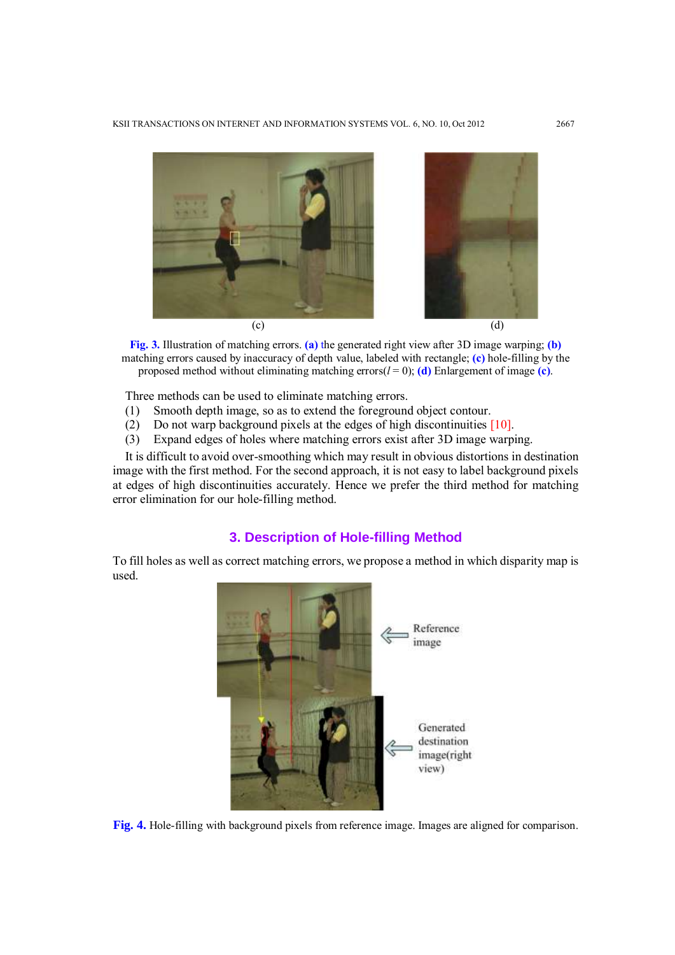

**Fig. 3.** Illustration of matching errors. **(a)** the generated right view after 3D image warping; **(b)** matching errors caused by inaccuracy of depth value, labeled with rectangle; **(c)** hole-filling by the proposed method without eliminating matching errors $(l = 0)$ ; **(d)** Enlargement of image **(c)**.

Three methods can be used to eliminate matching errors.

- (1) Smooth depth image, so as to extend the foreground object contour.
- (2) Do not warp background pixels at the edges of high discontinuities [10].
- (3) Expand edges of holes where matching errors exist after 3D image warping.

It is difficult to avoid over-smoothing which may result in obvious distortions in destination image with the first method. For the second approach, it is not easy to label background pixels at edges of high discontinuities accurately. Hence we prefer the third method for matching error elimination for our hole-filling method.

## **3. Description of Hole-filling Method**

To fill holes as well as correct matching errors, we propose a method in which disparity map is used.



**Fig. 4.** Hole-filling with background pixels from reference image. Images are aligned for comparison.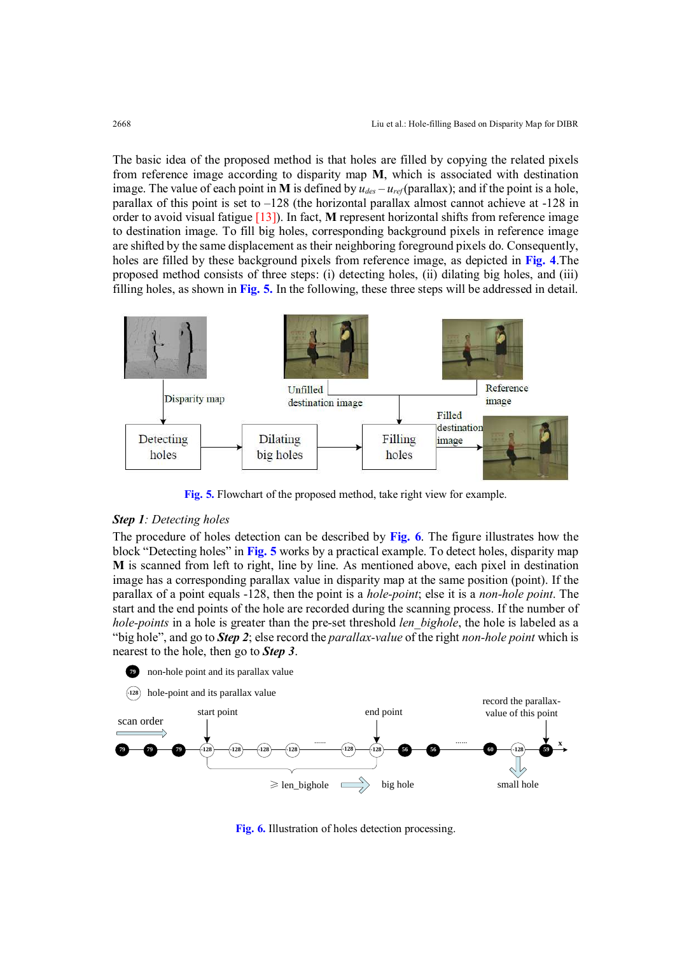The basic idea of the proposed method is that holes are filled by copying the related pixels from reference image according to disparity map **M**, which is associated with destination image. The value of each point in **M** is defined by  $u_{des} - u_{ref}$  (parallax); and if the point is a hole, parallax of this point is set to  $-128$  (the horizontal parallax almost cannot achieve at  $-128$  in order to avoid visual fatigue [13]). In fact, **M** represent horizontal shifts from reference image to destination image. To fill big holes, corresponding background pixels in reference image are shifted by the same displacement as their neighboring foreground pixels do. Consequently, holes are filled by these background pixels from reference image, as depicted in **Fig. 4**.The proposed method consists of three steps: (i) detecting holes, (ii) dilating big holes, and (iii) filling holes, as shown in **Fig. 5.** In the following, these three steps will be addressed in detail.



**Fig. 5.** Flowchart of the proposed method, take right view for example.

#### *Step 1: Detecting holes*

The procedure of holes detection can be described by **Fig. 6**. The figure illustrates how the block "Detecting holes" in **Fig. 5** works by a practical example. To detect holes, disparity map **M** is scanned from left to right, line by line. As mentioned above, each pixel in destination image has a corresponding parallax value in disparity map at the same position (point). If the parallax of a point equals -128, then the point is a *hole-point*; else it is a *non-hole point*. The start and the end points of the hole are recorded during the scanning process. If the number of *hole-points* in a hole is greater than the pre-set threshold *len bighole*, the hole is labeled as a "big hole", and go to *Step 2*; else record the *parallax-value* of the right *non-hole point* which is nearest to the hole, then go to *Step 3*.



**Fig. 6.** Illustration of holes detection processing.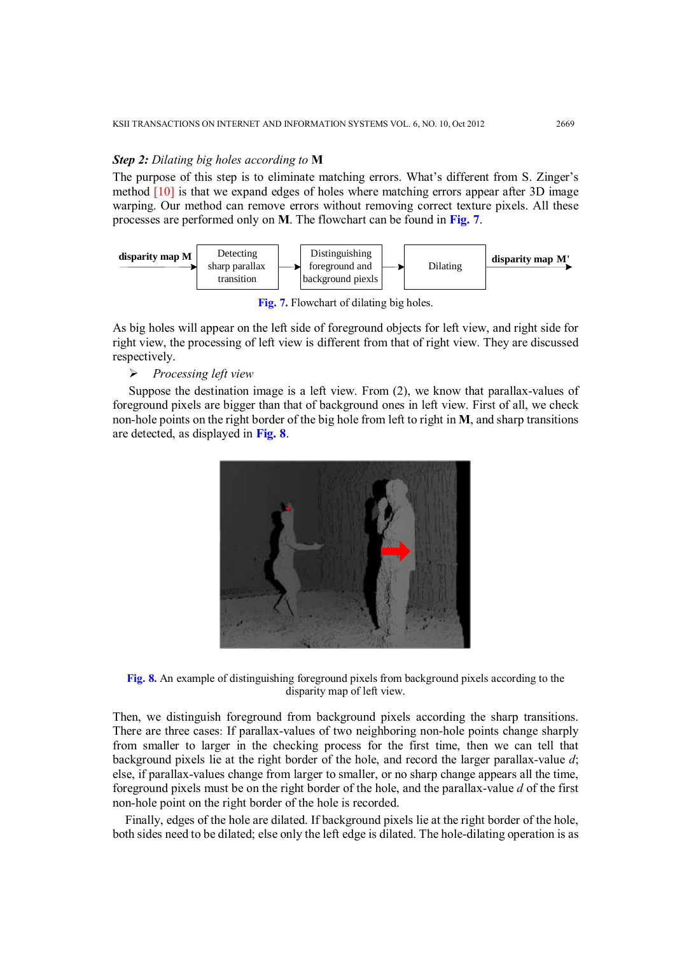#### *Step 2: Dilating big holes according to* **M**

The purpose of this step is to eliminate matching errors. What's different from S. Zinger's method [10] is that we expand edges of holes where matching errors appear after 3D image warping. Our method can remove errors without removing correct texture pixels. All these processes are performed only on **M**. The flowchart can be found in **Fig. 7**.



**Fig. 7.** Flowchart of dilating big holes.

As big holes will appear on the left side of foreground objects for left view, and right side for right view, the processing of left view is different from that of right view. They are discussed respectively.

*Processing left view*

Suppose the destination image is a left view. From (2), we know that parallax-values of foreground pixels are bigger than that of background ones in left view. First of all, we check non-hole points on the right border of the big hole from left to right in **M**, and sharp transitions are detected, as displayed in **Fig. 8**.



**Fig. 8.** An example of distinguishing foreground pixels from background pixels according to the disparity map of left view.

Then, we distinguish foreground from background pixels according the sharp transitions. There are three cases: If parallax-values of two neighboring non-hole points change sharply from smaller to larger in the checking process for the first time, then we can tell that background pixels lie at the right border of the hole, and record the larger parallax-value *d*; else, if parallax-values change from larger to smaller, or no sharp change appears all the time, foreground pixels must be on the right border of the hole, and the parallax-value *d* of the first non-hole point on the right border of the hole is recorded.

Finally, edges of the hole are dilated. If background pixels lie at the right border of the hole, both sides need to be dilated; else only the left edge is dilated. The hole-dilating operation is as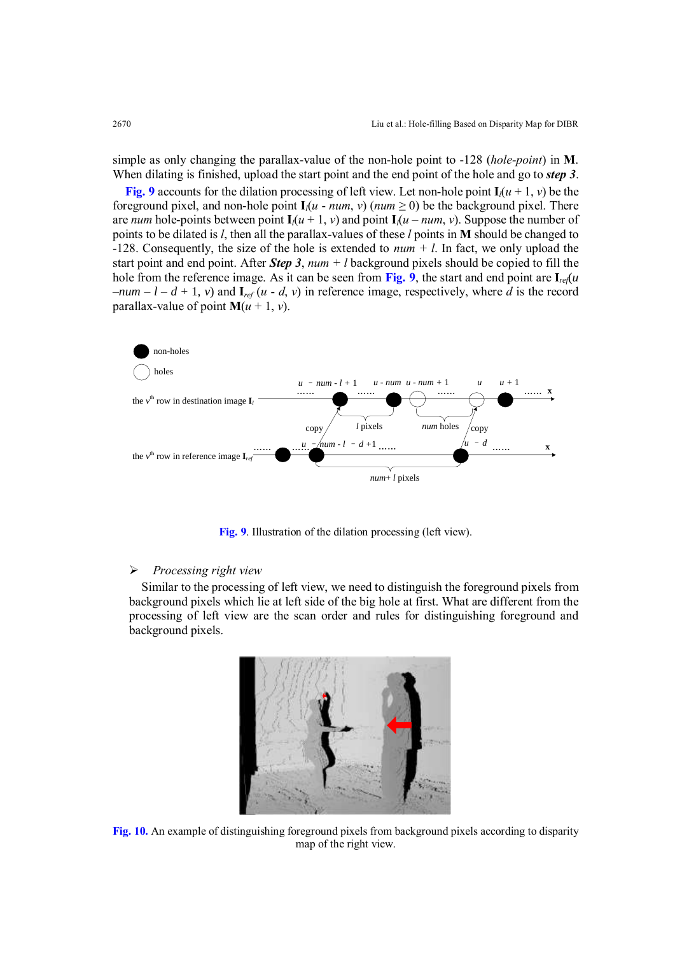simple as only changing the parallax-value of the non-hole point to -128 (*hole-point*) in **M**. When dilating is finished, upload the start point and the end point of the hole and go to *step 3*.

**Fig. 9** accounts for the dilation processing of left view. Let non-hole point  $I_l(u + 1, v)$  be the foreground pixel, and non-hole point  $I_i(u - num, v)$  ( $num \ge 0$ ) be the background pixel. There are *num* hole-points between point  $I_l(u + 1, v)$  and point  $I_l(u - num, v)$ . Suppose the number of points to be dilated is *l*, then all the parallax-values of these *l* points in **M** should be changed to -128. Consequently, the size of the hole is extended to *num + l*. In fact, we only upload the start point and end point. After *Step 3*, *num + l* background pixels should be copied to fill the hole from the reference image. As it can be seen from **Fig. 9**, the start and end point are  $I_{ref}(u)$  $-*num* - *l* - *d* + 1, v$  and  $\mathbf{I}_{ref}(u - d, v)$  in reference image, respectively, where *d* is the record parallax-value of point  $M(u + 1, v)$ .



**Fig. 9**. Illustration of the dilation processing (left view).

#### *Processing right view*

Similar to the processing of left view, we need to distinguish the foreground pixels from background pixels which lie at left side of the big hole at first. What are different from the processing of left view are the scan order and rules for distinguishing foreground and background pixels.



**Fig. 10.** An example of distinguishing foreground pixels from background pixels according to disparity map of the right view.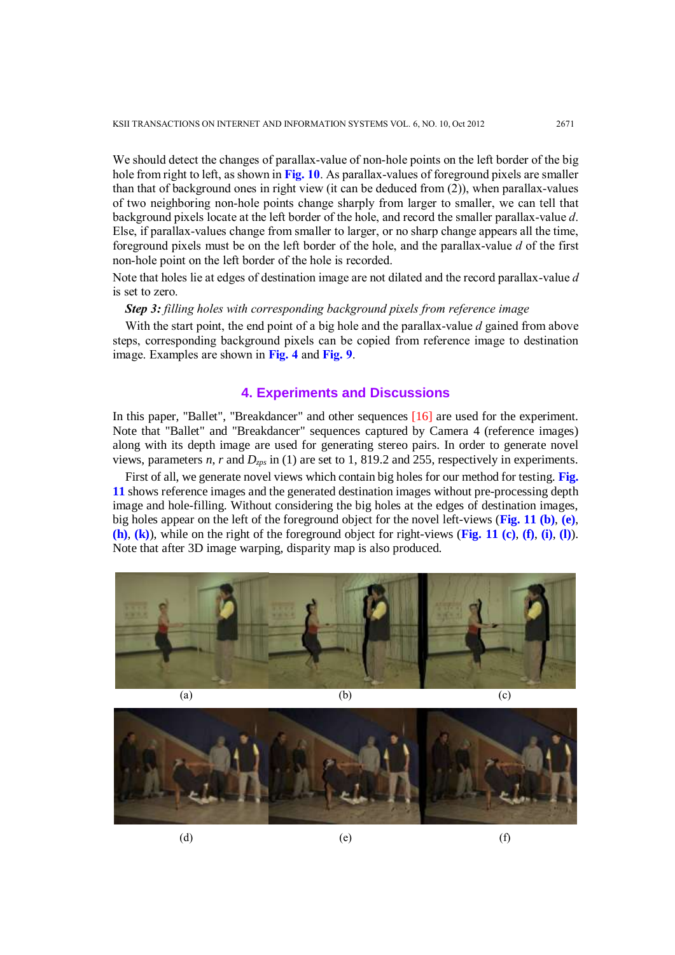We should detect the changes of parallax-value of non-hole points on the left border of the big hole from right to left, as shown in **Fig. 10**. As parallax-values of foreground pixels are smaller than that of background ones in right view (it can be deduced from (2)), when parallax-values of two neighboring non-hole points change sharply from larger to smaller, we can tell that background pixels locate at the left border of the hole, and record the smaller parallax-value *d*. Else, if parallax-values change from smaller to larger, or no sharp change appears all the time, foreground pixels must be on the left border of the hole, and the parallax-value *d* of the first non-hole point on the left border of the hole is recorded.

Note that holes lie at edges of destination image are not dilated and the record parallax-value *d* is set to zero.

*Step 3: filling holes with corresponding background pixels from reference image*

With the start point, the end point of a big hole and the parallax-value *d* gained from above steps, corresponding background pixels can be copied from reference image to destination image. Examples are shown in **Fig. 4** and **Fig. 9**.

# **4. Experiments and Discussions**

In this paper, "Ballet", "Breakdancer" and other sequences [16] are used for the experiment. Note that "Ballet" and "Breakdancer" sequences captured by Camera 4 (reference images) along with its depth image are used for generating stereo pairs. In order to generate novel views, parameters *n*, *r* and  $D_{\text{zps}}$  in (1) are set to 1, 819.2 and 255, respectively in experiments.

First of all, we generate novel views which contain big holes for our method for testing. **Fig. 11** shows reference images and the generated destination images without pre-processing depth image and hole-filling. Without considering the big holes at the edges of destination images, big holes appear on the left of the foreground object for the novel left-views (**Fig. 11 (b)**, **(e)**, **(h)**, **(k)**), while on the right of the foreground object for right-views (**Fig. 11 (c)**, **(f)**, **(i)**, **(l)**). Note that after 3D image warping, disparity map is also produced.





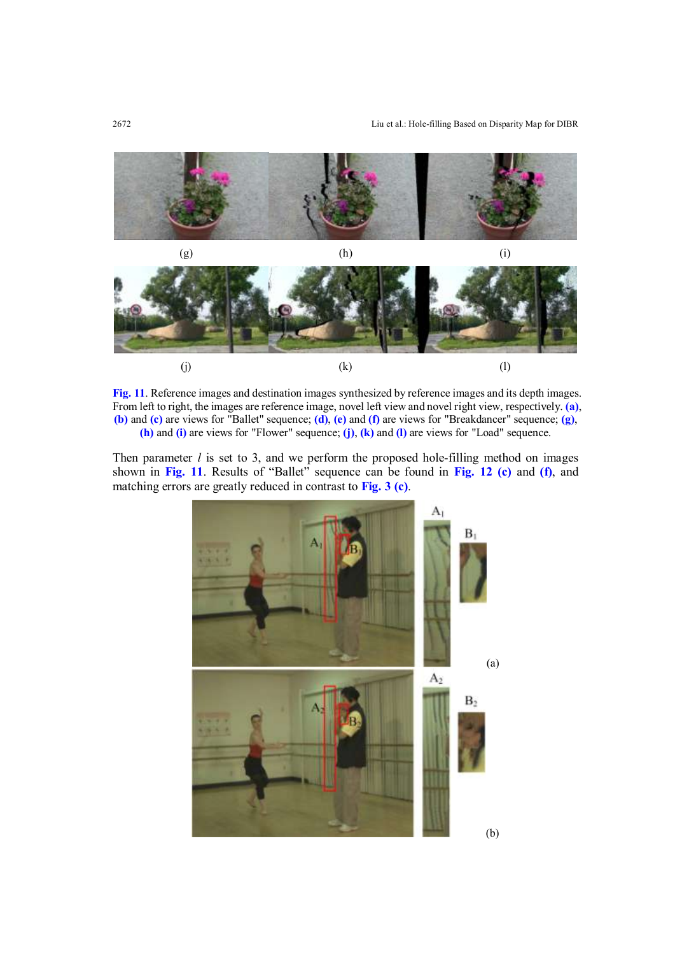

**Fig. 11**. Reference images and destination images synthesized by reference images and its depth images. From left to right, the images are reference image, novel left view and novel right view, respectively. **(a)**, **(b)** and **(c)** are views for "Ballet" sequence; **(d)**, **(e)** and **(f)** are views for "Breakdancer" sequence; **(g)**, **(h)** and **(i)** are views for "Flower" sequence; **(j)**, **(k)** and **(l)** are views for "Load" sequence.

Then parameter *l* is set to 3, and we perform the proposed hole-filling method on images shown in **Fig. 11**. Results of "Ballet" sequence can be found in **Fig. 12 (c)** and **(f)**, and matching errors are greatly reduced in contrast to **Fig. 3 (c)**.

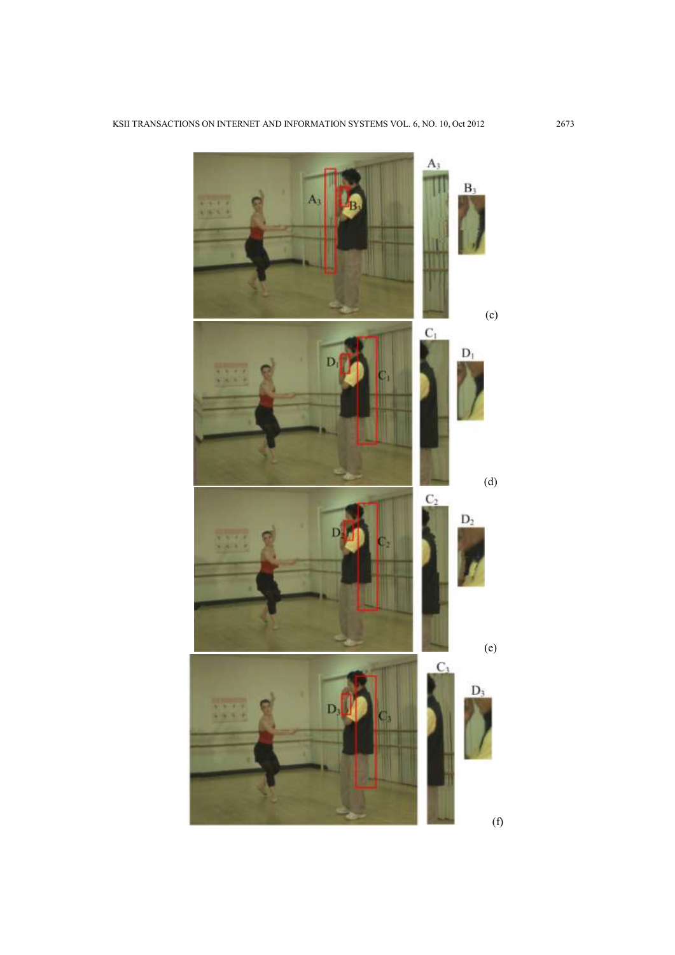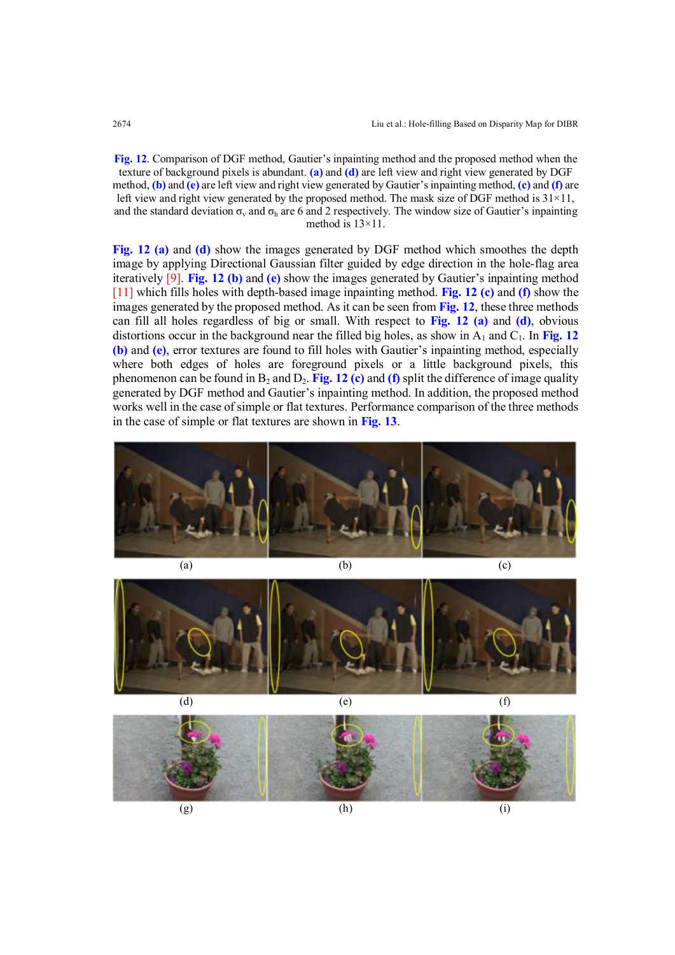**Fig. 12**. Comparison of DGF method, Gautier's inpainting method and the proposed method when the texture of background pixels is abundant. **(a)** and **(d)** are left view and right view generated by DGF method, **(b)** and **(e)** are left view and right view generated by Gautier's inpainting method, **(c)** and **(f)** are left view and right view generated by the proposed method. The mask size of DGF method is  $31\times11$ , and the standard deviation  $\sigma_y$  and  $\sigma_h$  are 6 and 2 respectively. The window size of Gautier's inpainting method is 13×11.

**Fig. 12 (a)** and **(d)** show the images generated by DGF method which smoothes the depth image by applying Directional Gaussian filter guided by edge direction in the hole-flag area iteratively [9]. **Fig. 12 (b)** and **(e)** show the images generated by Gautier's inpainting method [11] which fills holes with depth-based image inpainting method. **Fig. 12 (c)** and **(f)** show the images generated by the proposed method. As it can be seen from **Fig. 12**, these three methods can fill all holes regardless of big or small. With respect to **Fig. 12 (a)** and **(d)**, obvious distortions occur in the background near the filled big holes, as show in  $A_1$  and  $C_1$ . In Fig. 12 **(b)** and **(e)**, error textures are found to fill holes with Gautier's inpainting method, especially where both edges of holes are foreground pixels or a little background pixels, this phenomenon can be found in  $B_2$  and  $D_2$ . **Fig. 12 (c)** and (f) split the difference of image quality generated by DGF method and Gautier's inpainting method. In addition, the proposed method works well in the case of simple or flat textures. Performance comparison of the three methods in the case of simple or flat textures are shown in **Fig. 13**.





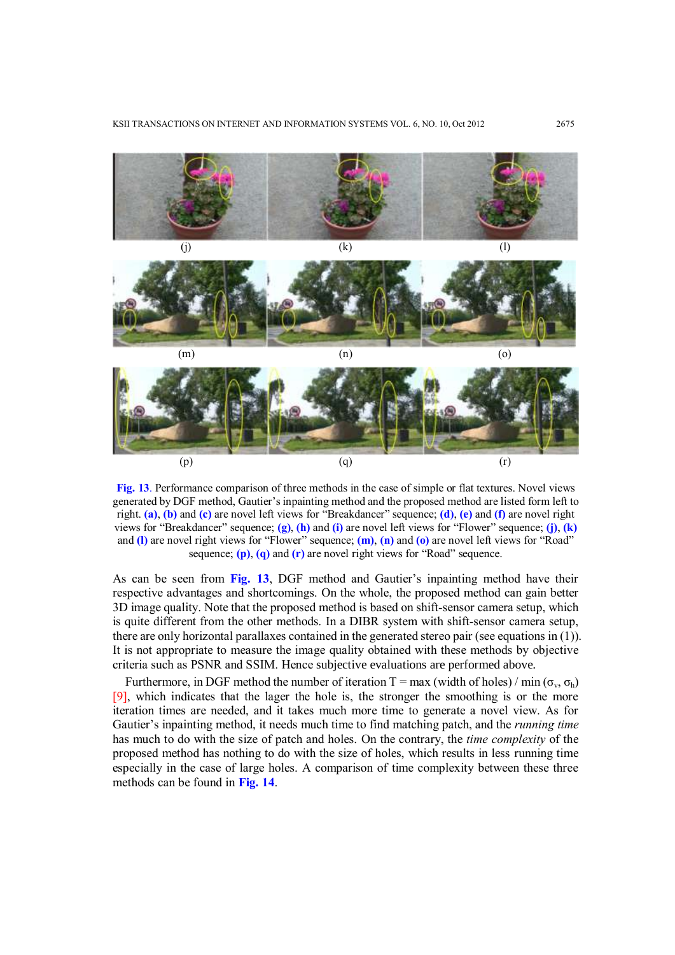

**Fig. 13**. Performance comparison of three methods in the case of simple or flat textures. Novel views generated by DGF method, Gautier's inpainting method and the proposed method are listed form left to right. **(a)**, **(b)** and **(c)** are novel left views for "Breakdancer" sequence; **(d)**, **(e)** and **(f)** are novel right views for "Breakdancer" sequence; **(g)**, **(h)** and **(i)** are novel left views for "Flower" sequence; **(j)**, **(k)** and **(l)** are novel right views for "Flower" sequence; **(m)**, **(n)** and **(o)** are novel left views for "Road" sequence; **(p)**, **(q)** and **(r)** are novel right views for "Road" sequence.

As can be seen from **Fig. 13**, DGF method and Gautier's inpainting method have their respective advantages and shortcomings. On the whole, the proposed method can gain better 3D image quality. Note that the proposed method is based on shift-sensor camera setup, which is quite different from the other methods. In a DIBR system with shift-sensor camera setup, there are only horizontal parallaxes contained in the generated stereo pair (see equations in (1)). It is not appropriate to measure the image quality obtained with these methods by objective criteria such as PSNR and SSIM. Hence subjective evaluations are performed above.

Furthermore, in DGF method the number of iteration T = max (width of holes) / min ( $\sigma_v$ ,  $\sigma_h$ ) [9], which indicates that the lager the hole is, the stronger the smoothing is or the more iteration times are needed, and it takes much more time to generate a novel view. As for Gautier's inpainting method, it needs much time to find matching patch, and the *running time* has much to do with the size of patch and holes. On the contrary, the *time complexity* of the proposed method has nothing to do with the size of holes, which results in less running time especially in the case of large holes. A comparison of time complexity between these three methods can be found in **Fig. 14**.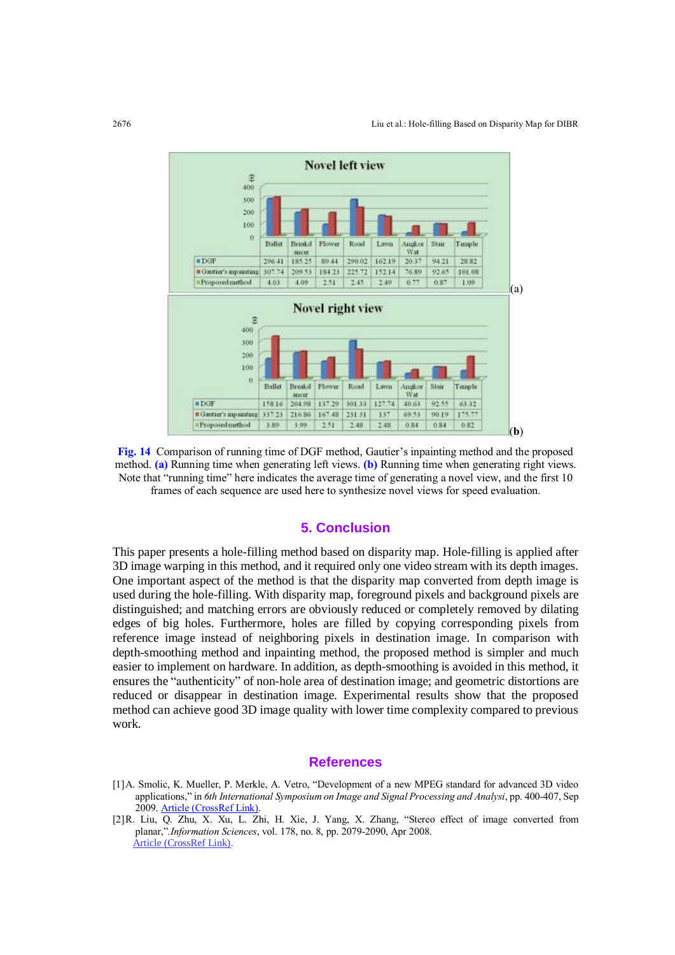

**Fig. 14** Comparison of running time of DGF method, Gautier's inpainting method and the proposed method. **(a)** Running time when generating left views. **(b)** Running time when generating right views. Note that "running time" here indicates the average time of generating a novel view, and the first 10 frames of each sequence are used here to synthesize novel views for speed evaluation.

# **5. Conclusion**

This paper presents a hole-filling method based on disparity map. Hole-filling is applied after 3D image warping in this method, and it required only one video stream with its depth images. One important aspect of the method is that the disparity map converted from depth image is used during the hole-filling. With disparity map, foreground pixels and background pixels are distinguished; and matching errors are obviously reduced or completely removed by dilating edges of big holes. Furthermore, holes are filled by copying corresponding pixels from reference image instead of neighboring pixels in destination image. In comparison with depth-smoothing method and inpainting method, the proposed method is simpler and much easier to implement on hardware. In addition, as depth-smoothing is avoided in this method, it ensures the "authenticity" of non-hole area of destination image; and geometric distortions are reduced or disappear in destination image. Experimental results show that the proposed method can achieve good 3D image quality with lower time complexity compared to previous work.

#### **References**

- [1]A. Smolic, K. Mueller, P. Merkle, A. Vetro, "Development of a new MPEG standard for advanced 3D video applications," in *6th International Symposium on Image and Signal Processing and Analysi*, pp. 400-407, Sep 2009. [Article \(CrossRef Link\).](http://ieeexplore.ieee.org/xpl/articleDetails.jsp?tp=&arnumber=5297704&contentType=Conference+Publications&searchField%3DSearch_All%26queryText%3DDevelopment+of+a+new+MPEG+standard+for+advanced+3D+video+applications)
- [2]R. Liu, Q. Zhu, X. Xu, L. Zhi, H. Xie, J. Yang, X. Zhang, "Stereo effect of image converted from planar,"*.Information Sciences*, vol. 178, no. 8, pp. 2079-2090, Apr 2008. [Article \(CrossRef Link\).](http://dx.doi.org/10.1016%2Fj.ins.2007.12.008)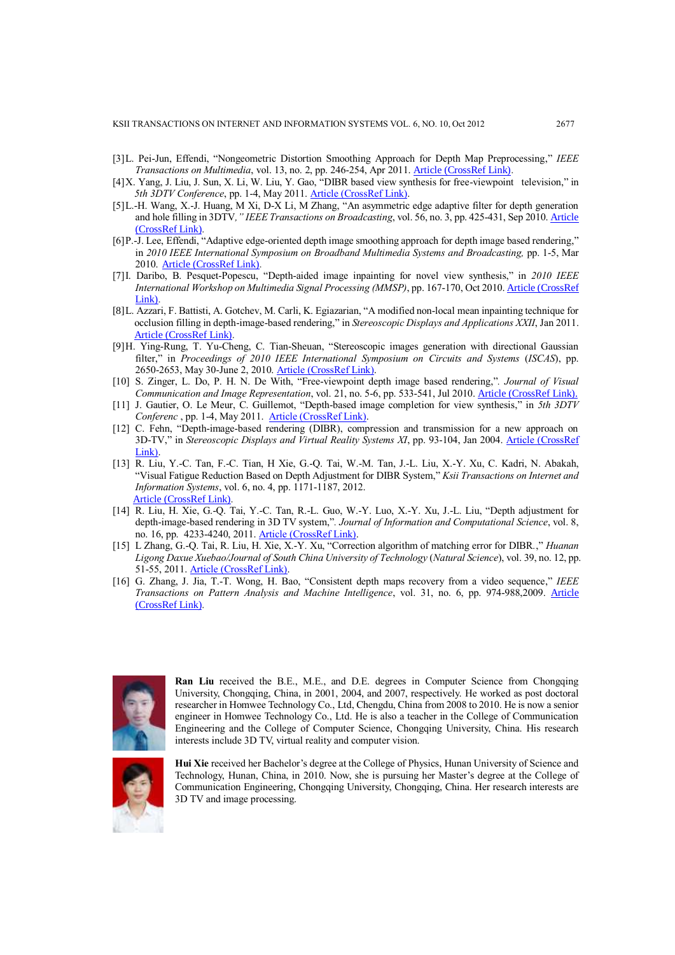- [3]L. Pei-Jun, Effendi, "Nongeometric Distortion Smoothing Approach for Depth Map Preprocessing," *IEEE Transactions on Multimedia*, vol. 13, no. 2, pp. 246-254, Apr 2011. [Article \(CrossRef Link\).](http://dx.doi.org/10.1109%2FTMM.2010.2100372)
- [4]X. Yang, J. Liu, J. Sun, X. Li, W. Liu, Y. Gao, "DIBR based view synthesis for free-viewpoint television," in *5th 3DTV Conference*, pp. 1-4, May 2011[. Article \(CrossRef Link\).](http://ieeexplore.ieee.org/xpl/articleDetails.jsp?arnumber=5877165)
- [5]L.-H. Wang, X.-J. Huang, M Xi, D-X Li, M Zhang, "An asymmetric edge adaptive filter for depth generation and hole filling in 3DTV*," IEEE Transactions on Broadcasting*, vol. 56, no. 3, pp. 425-431, Sep 2010. [Article](http://dx.doi.org/10.1109%2FTBC.2010.2053971)  [\(CrossRef Link\).](http://dx.doi.org/10.1109%2FTBC.2010.2053971)
- [6]P.-J. Lee, Effendi, "Adaptive edge-oriented depth image smoothing approach for depth image based rendering," in *2010 IEEE International Symposium on Broadband Multimedia Systems and Broadcasting,* pp. 1-5, Mar 2010. [Article \(CrossRef Link\).](http://dx.doi.org/10.1109%2FISBMSB.2010.5463157)
- [7]I. Daribo, B. Pesquet-Popescu, "Depth-aided image inpainting for novel view synthesis," in *2010 IEEE International Workshop on Multimedia Signal Processing (MMSP)*, pp. 167-170, Oct 2010. [Article \(CrossRef](http://dx.doi.org/10.1109%2FMMSP.2010.5662013)  [Link\).](http://dx.doi.org/10.1109%2FMMSP.2010.5662013)
- [8]L. Azzari, F. Battisti, A. Gotchev, M. Carli, K. Egiazarian, "A modified non-local mean inpainting technique for occlusion filling in depth-image-based rendering," in *Stereoscopic Displays and Applications XXII*, Jan 2011. [Article \(CrossRef Link\).](http://dx.doi.org/10.1117%2F12.872926)
- [9]H. Ying-Rung, T. Yu-Cheng, C. Tian-Sheuan, "Stereoscopic images generation with directional Gaussian filter," in *Proceedings of 2010 IEEE International Symposium on Circuits and Systems* (*ISCAS*), pp. 2650-2653, May 30-June 2, 2010. [Article \(CrossRef Link\).](http://ieeexplore.ieee.org/xpl/articleDetails.jsp?tp=&arnumber=5537052&contentType=Conference+Publications&searchField%3DSearch_All%26queryText%3DStereoscopic+images+generation+with+directional+Gaussian+filterin+depth-image-based+rendering)
- [10] S. Zinger, L. Do, P. H. N. De With, "Free-viewpoint depth image based rendering,"*. Journal of Visual Communication and Image Representation*, vol. 21, no. 5-6, pp. 533-541, Jul 2010. [Article \(CrossRef Link\).](http://dx.doi.org/10.1016%2Fj.jvcir.2010.01.004)
- [11] J. Gautier, O. Le Meur, C. Guillemot, "Depth-based image completion for view synthesis," in *5th 3DTV Conferenc* , pp. 1-4, May 2011. [Article \(CrossRef Link\).](http://ieeexplore.ieee.org/xpl/articleDetails.jsp?tp=&arnumber=5877193&contentType=Conference+Publications&queryText%3DDepth-based+image+completion+for+view+synthesis)
- [12] C. Fehn, "Depth-image-based rendering (DIBR), compression and transmission for a new approach on 3D-TV," in *Stereoscopic Displays and Virtual Reality Systems XI*, pp. 93-104, Jan 2004. Article (CrossRef [Link\).](http://proceedings.spiedigitallibrary.org/proceeding.aspx?articleid=836673)
- [13] R. Liu, Y.-C. Tan, F.-C. Tian, H Xie, G.-Q. Tai, W.-M. Tan, J.-L. Liu, X.-Y. Xu, C. Kadri, N. Abakah, "Visual Fatigue Reduction Based on Depth Adjustment for DIBR System," *Ksii Transactions on Internet and Information Systems*, vol. 6, no. 4, pp. 1171-1187, 2012. [Article \(CrossRef Link\).](http://dx.doi.org/10.3837%2Ftiis.2012.04.013)
- [14] R. Liu, H. Xie, G.-Q. Tai, Y.-C. Tan, R.-L. Guo, W.-Y. Luo, X.-Y. Xu, J.-L. Liu, "Depth adjustment for depth-image-based rendering in 3D TV system,"*. Journal of Information and Computational Science*, vol. 8, no. 16, pp. 4233-4240, 2011. [Article \(CrossRef Link\).](http://www.engineeringvillage.com/controller/servlet/Controller?CID=quickSearchCitationFormat&database=49157&SEARCHID=M2e2be01e13a37c0397a29c5prod1con2&intialSearch=ture&showpatentshelp=false)
- [15] L Zhang, G.-Q. Tai, R. Liu, H. Xie, X.-Y. Xu, "Correction algorithm of matching error for DIBR*.*," *Huanan Ligong Daxue Xuebao/Journal of South China University of Technology* (*Natural Science*), vol. 39, no. 12, pp. 51-55, 2011. [Article \(CrossRef Link\).](http://d.wanfangdata.com.cn/Periodical_hnlgdxxb201112009.aspx)
- [16] G. Zhang, J. Jia, T.-T. Wong, H. Bao, "Consistent depth maps recovery from a video sequence," *IEEE Transactions on Pattern Analysis and Machine Intelligence*, vol. 31, no. 6, pp. 974-988,2009. [Article](http://dx.doi.org/10.1109%2FTPAMI.2009.52)  [\(CrossRef Link\).](http://dx.doi.org/10.1109%2FTPAMI.2009.52)



**Ran Liu** received the B.E., M.E., and D.E. degrees in Computer Science from Chongqing University, Chongqing, China, in 2001, 2004, and 2007, respectively. He worked as post doctoral researcher in Homwee Technology Co., Ltd, Chengdu, China from 2008 to 2010. He is now a senior engineer in Homwee Technology Co., Ltd. He is also a teacher in the College of Communication Engineering and the College of Computer Science, Chongqing University, China. His research interests include 3D TV, virtual reality and computer vision.



**Hui Xie** received her Bachelor's degree at the College of Physics, Hunan University of Science and Technology, Hunan, China, in 2010. Now, she is pursuing her Master's degree at the College of Communication Engineering, Chongqing University, Chongqing, China. Her research interests are 3D TV and image processing.